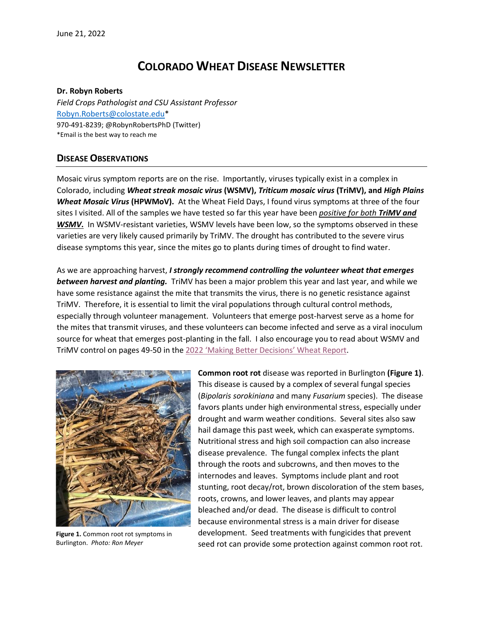# **COLORADO WHEAT DISEASE NEWSLETTER**

#### **Dr. Robyn Roberts**

*Field Crops Pathologist and CSU Assistant Professor* [Robyn.Roberts@colostate.edu\\*](mailto:Robyn.Roberts@colostate.edu) 970-491-8239; @RobynRobertsPhD (Twitter) \*Email is the best way to reach me

### **DISEASE OBSERVATIONS**

Mosaic virus symptom reports are on the rise. Importantly, viruses typically exist in a complex in Colorado, including *Wheat streak mosaic virus* **(WSMV),** *Triticum mosaic virus* **(TriMV), and** *High Plains Wheat Mosaic Virus* **(HPWMoV).** At the Wheat Field Days, I found virus symptoms at three of the four sites I visited. All of the samples we have tested so far this year have been *positive for both TriMV and WSMV***.** In WSMV-resistant varieties, WSMV levels have been low, so the symptoms observed in these varieties are very likely caused primarily by TriMV. The drought has contributed to the severe virus disease symptoms this year, since the mites go to plants during times of drought to find water.

As we are approaching harvest, *I strongly recommend controlling the volunteer wheat that emerges between harvest and planting.* TriMV has been a major problem this year and last year, and while we have some resistance against the mite that transmits the virus, there is no genetic resistance against TriMV. Therefore, it is essential to limit the viral populations through cultural control methods, especially through volunteer management. Volunteers that emerge post-harvest serve as a home for the mites that transmit viruses, and these volunteers can become infected and serve as a viral inoculum source for wheat that emerges post-planting in the fall. I also encourage you to read about WSMV and TriMV control on pages 49-50 in the 2022 ['Making Better Decisions'](https://agsci.colostate.edu/csucrops/wp-content/uploads/sites/18/2022/06/wheatreport-2022-WFD.pdf) Wheat Report.



**Figure 1.** Common root rot symptoms in Burlington. *Photo: Ron Meyer*

**Common root rot** disease was reported in Burlington **(Figure 1)**. This disease is caused by a complex of several fungal species (*Bipolaris sorokiniana* and many *Fusarium* species). The disease favors plants under high environmental stress, especially under drought and warm weather conditions. Several sites also saw hail damage this past week, which can exasperate symptoms. Nutritional stress and high soil compaction can also increase disease prevalence. The fungal complex infects the plant through the roots and subcrowns, and then moves to the internodes and leaves. Symptoms include plant and root stunting, root decay/rot, brown discoloration of the stem bases, roots, crowns, and lower leaves, and plants may appear bleached and/or dead. The disease is difficult to control because environmental stress is a main driver for disease development. Seed treatments with fungicides that prevent seed rot can provide some protection against common root rot.